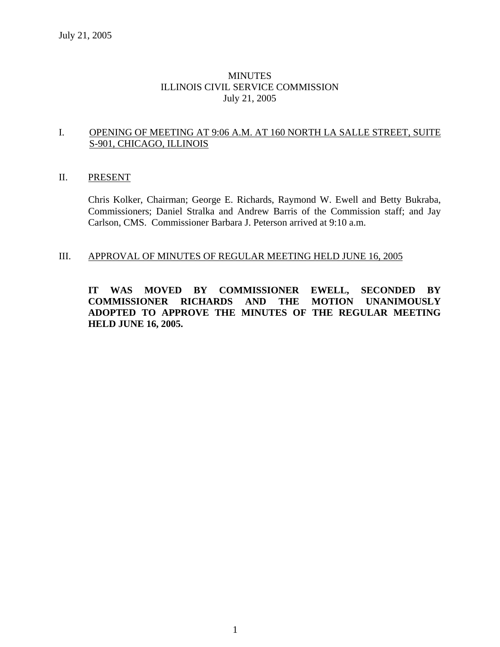# MINUTES ILLINOIS CIVIL SERVICE COMMISSION July 21, 2005

# I. OPENING OF MEETING AT 9:06 A.M. AT 160 NORTH LA SALLE STREET, SUITE S-901, CHICAGO, ILLINOIS

# II. PRESENT

Chris Kolker, Chairman; George E. Richards, Raymond W. Ewell and Betty Bukraba, Commissioners; Daniel Stralka and Andrew Barris of the Commission staff; and Jay Carlson, CMS. Commissioner Barbara J. Peterson arrived at 9:10 a.m.

# III. APPROVAL OF MINUTES OF REGULAR MEETING HELD JUNE 16, 2005

**IT WAS MOVED BY COMMISSIONER EWELL, SECONDED BY COMMISSIONER RICHARDS AND THE MOTION UNANIMOUSLY ADOPTED TO APPROVE THE MINUTES OF THE REGULAR MEETING HELD JUNE 16, 2005.**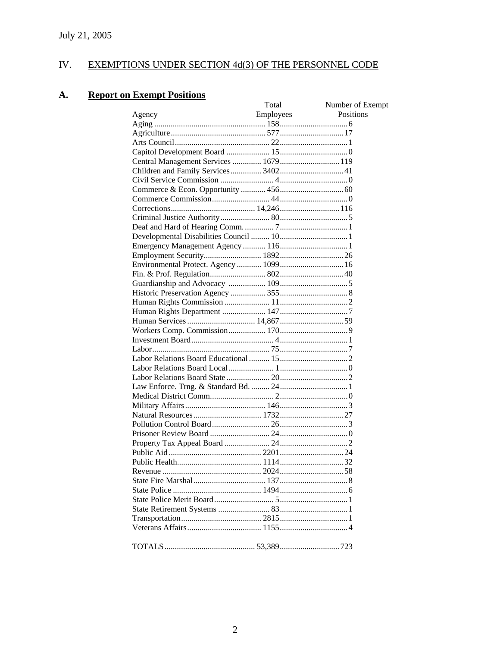#### IV. EXEMPTIONS UNDER SECTION 4d(3) OF THE PERSONNEL CODE

#### **Report on Exempt Positions A.**

|                                       | Total            | Number of Exempt |
|---------------------------------------|------------------|------------------|
| <u>Agency</u>                         | <b>Employees</b> | Positions        |
|                                       |                  |                  |
|                                       |                  |                  |
|                                       |                  |                  |
|                                       |                  |                  |
| Central Management Services  1679 119 |                  |                  |
| Children and Family Services 3402 41  |                  |                  |
|                                       |                  |                  |
|                                       |                  |                  |
|                                       |                  |                  |
|                                       |                  |                  |
|                                       |                  |                  |
|                                       |                  |                  |
|                                       |                  |                  |
|                                       |                  |                  |
|                                       |                  |                  |
|                                       |                  |                  |
|                                       |                  |                  |
|                                       |                  |                  |
|                                       |                  |                  |
|                                       |                  |                  |
|                                       |                  |                  |
|                                       |                  |                  |
|                                       |                  |                  |
|                                       |                  |                  |
|                                       |                  |                  |
|                                       |                  |                  |
|                                       |                  |                  |
|                                       |                  |                  |
|                                       |                  |                  |
|                                       |                  |                  |
|                                       |                  |                  |
|                                       |                  |                  |
|                                       |                  |                  |
|                                       |                  |                  |
|                                       |                  |                  |
|                                       |                  |                  |
|                                       |                  |                  |
|                                       |                  |                  |
|                                       |                  |                  |
|                                       |                  |                  |
|                                       |                  |                  |
|                                       |                  |                  |
|                                       |                  |                  |
|                                       |                  |                  |
|                                       |                  |                  |
|                                       |                  |                  |
|                                       |                  |                  |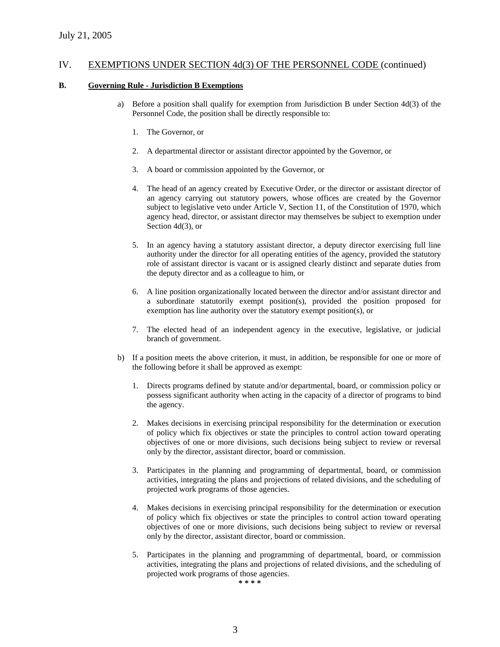#### **B. Governing Rule - Jurisdiction B Exemptions**

- a) Before a position shall qualify for exemption from Jurisdiction B under Section 4d(3) of the Personnel Code, the position shall be directly responsible to:
	- 1. The Governor, or
	- 2. A departmental director or assistant director appointed by the Governor, or
	- 3. A board or commission appointed by the Governor, or
	- 4. The head of an agency created by Executive Order, or the director or assistant director of an agency carrying out statutory powers, whose offices are created by the Governor subject to legislative veto under Article V, Section 11, of the Constitution of 1970, which agency head, director, or assistant director may themselves be subject to exemption under Section 4d(3), or
	- 5. In an agency having a statutory assistant director, a deputy director exercising full line authority under the director for all operating entities of the agency, provided the statutory role of assistant director is vacant or is assigned clearly distinct and separate duties from the deputy director and as a colleague to him, or
	- 6. A line position organizationally located between the director and/or assistant director and a subordinate statutorily exempt position(s), provided the position proposed for exemption has line authority over the statutory exempt position(s), or
	- 7. The elected head of an independent agency in the executive, legislative, or judicial branch of government.
- b) If a position meets the above criterion, it must, in addition, be responsible for one or more of the following before it shall be approved as exempt:
	- 1. Directs programs defined by statute and/or departmental, board, or commission policy or possess significant authority when acting in the capacity of a director of programs to bind the agency.
	- 2. Makes decisions in exercising principal responsibility for the determination or execution of policy which fix objectives or state the principles to control action toward operating objectives of one or more divisions, such decisions being subject to review or reversal only by the director, assistant director, board or commission.
	- 3. Participates in the planning and programming of departmental, board, or commission activities, integrating the plans and projections of related divisions, and the scheduling of projected work programs of those agencies.
	- 4. Makes decisions in exercising principal responsibility for the determination or execution of policy which fix objectives or state the principles to control action toward operating objectives of one or more divisions, such decisions being subject to review or reversal only by the director, assistant director, board or commission.
	- 5. Participates in the planning and programming of departmental, board, or commission activities, integrating the plans and projections of related divisions, and the scheduling of projected work programs of those agencies.

**\* \* \* \***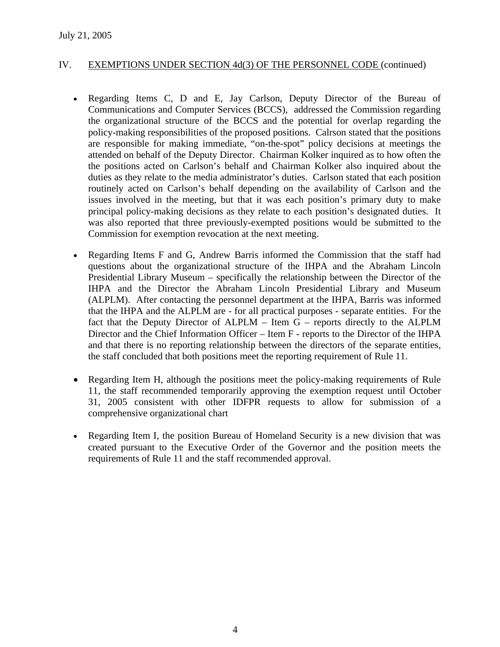- Regarding Items C, D and E, Jay Carlson, Deputy Director of the Bureau of Communications and Computer Services (BCCS), addressed the Commission regarding the organizational structure of the BCCS and the potential for overlap regarding the policy-making responsibilities of the proposed positions. Calrson stated that the positions are responsible for making immediate, "on-the-spot" policy decisions at meetings the attended on behalf of the Deputy Director. Chairman Kolker inquired as to how often the the positions acted on Carlson's behalf and Chairman Kolker also inquired about the duties as they relate to the media administrator's duties. Carlson stated that each position routinely acted on Carlson's behalf depending on the availability of Carlson and the issues involved in the meeting, but that it was each position's primary duty to make principal policy-making decisions as they relate to each position's designated duties. It was also reported that three previously-exempted positions would be submitted to the Commission for exemption revocation at the next meeting.
- Regarding Items F and G, Andrew Barris informed the Commission that the staff had questions about the organizational structure of the IHPA and the Abraham Lincoln Presidential Library Museum – specifically the relationship between the Director of the IHPA and the Director the Abraham Lincoln Presidential Library and Museum (ALPLM). After contacting the personnel department at the IHPA, Barris was informed that the IHPA and the ALPLM are - for all practical purposes - separate entities. For the fact that the Deputy Director of ALPLM – Item G – reports directly to the ALPLM Director and the Chief Information Officer – Item F - reports to the Director of the IHPA and that there is no reporting relationship between the directors of the separate entities, the staff concluded that both positions meet the reporting requirement of Rule 11.
- Regarding Item H, although the positions meet the policy-making requirements of Rule 11, the staff recommended temporarily approving the exemption request until October 31, 2005 consistent with other IDFPR requests to allow for submission of a comprehensive organizational chart
- Regarding Item I, the position Bureau of Homeland Security is a new division that was created pursuant to the Executive Order of the Governor and the position meets the requirements of Rule 11 and the staff recommended approval.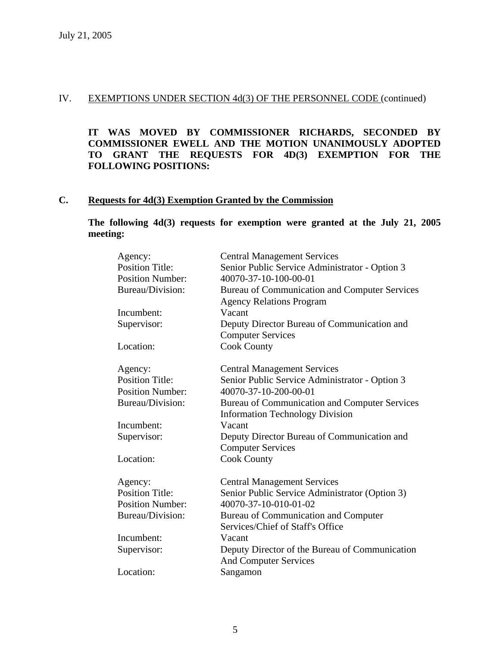**IT WAS MOVED BY COMMISSIONER RICHARDS, SECONDED BY COMMISSIONER EWELL AND THE MOTION UNANIMOUSLY ADOPTED TO GRANT THE REQUESTS FOR 4D(3) EXEMPTION FOR THE FOLLOWING POSITIONS:**

# **C. Requests for 4d(3) Exemption Granted by the Commission**

**The following 4d(3) requests for exemption were granted at the July 21, 2005 meeting:** 

| Agency:                 | <b>Central Management Services</b>             |
|-------------------------|------------------------------------------------|
| <b>Position Title:</b>  | Senior Public Service Administrator - Option 3 |
| <b>Position Number:</b> | 40070-37-10-100-00-01                          |
| Bureau/Division:        | Bureau of Communication and Computer Services  |
|                         | <b>Agency Relations Program</b>                |
| Incumbent:              | Vacant                                         |
| Supervisor:             | Deputy Director Bureau of Communication and    |
|                         | <b>Computer Services</b>                       |
| Location:               | <b>Cook County</b>                             |
| Agency:                 | <b>Central Management Services</b>             |
| <b>Position Title:</b>  | Senior Public Service Administrator - Option 3 |
| <b>Position Number:</b> | 40070-37-10-200-00-01                          |
| Bureau/Division:        | Bureau of Communication and Computer Services  |
|                         | <b>Information Technology Division</b>         |
| Incumbent:              | Vacant                                         |
| Supervisor:             | Deputy Director Bureau of Communication and    |
|                         | <b>Computer Services</b>                       |
| Location:               | <b>Cook County</b>                             |
| Agency:                 | <b>Central Management Services</b>             |
| <b>Position Title:</b>  | Senior Public Service Administrator (Option 3) |
| <b>Position Number:</b> | 40070-37-10-010-01-02                          |
| Bureau/Division:        | Bureau of Communication and Computer           |
|                         | Services/Chief of Staff's Office               |
| Incumbent:              | Vacant                                         |
| Supervisor:             | Deputy Director of the Bureau of Communication |
|                         | <b>And Computer Services</b>                   |
| Location:               | Sangamon                                       |
|                         |                                                |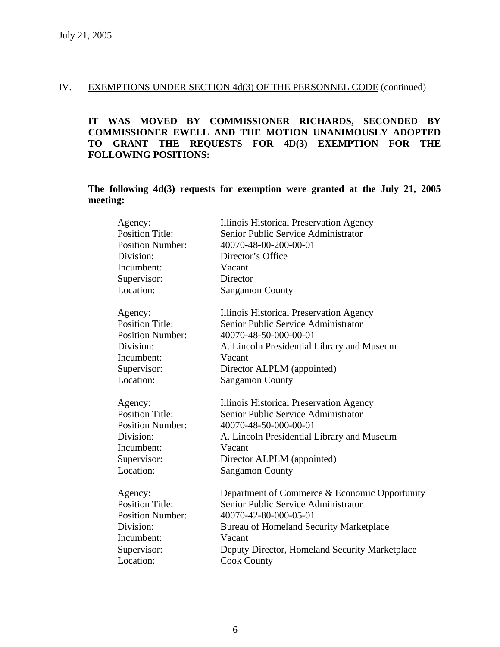**IT WAS MOVED BY COMMISSIONER RICHARDS, SECONDED BY COMMISSIONER EWELL AND THE MOTION UNANIMOUSLY ADOPTED TO GRANT THE REQUESTS FOR 4D(3) EXEMPTION FOR THE FOLLOWING POSITIONS:**

**The following 4d(3) requests for exemption were granted at the July 21, 2005 meeting:** 

| Agency:                 | Illinois Historical Preservation Agency        |
|-------------------------|------------------------------------------------|
| <b>Position Title:</b>  | Senior Public Service Administrator            |
| <b>Position Number:</b> | 40070-48-00-200-00-01                          |
| Division:               | Director's Office                              |
| Incumbent:              | Vacant                                         |
| Supervisor:             | Director                                       |
| Location:               | <b>Sangamon County</b>                         |
| Agency:                 | Illinois Historical Preservation Agency        |
| <b>Position Title:</b>  | Senior Public Service Administrator            |
| <b>Position Number:</b> | 40070-48-50-000-00-01                          |
| Division:               | A. Lincoln Presidential Library and Museum     |
| Incumbent:              | Vacant                                         |
| Supervisor:             | Director ALPLM (appointed)                     |
| Location:               | <b>Sangamon County</b>                         |
| Agency:                 | Illinois Historical Preservation Agency        |
| <b>Position Title:</b>  | Senior Public Service Administrator            |
| <b>Position Number:</b> | 40070-48-50-000-00-01                          |
| Division:               | A. Lincoln Presidential Library and Museum     |
| Incumbent:              | Vacant                                         |
| Supervisor:             | Director ALPLM (appointed)                     |
| Location:               | <b>Sangamon County</b>                         |
| Agency:                 | Department of Commerce & Economic Opportunity  |
| <b>Position Title:</b>  | Senior Public Service Administrator            |
| <b>Position Number:</b> | 40070-42-80-000-05-01                          |
| Division:               | <b>Bureau of Homeland Security Marketplace</b> |
| Incumbent:              | Vacant                                         |
| Supervisor:             | Deputy Director, Homeland Security Marketplace |
| Location:               | <b>Cook County</b>                             |
|                         |                                                |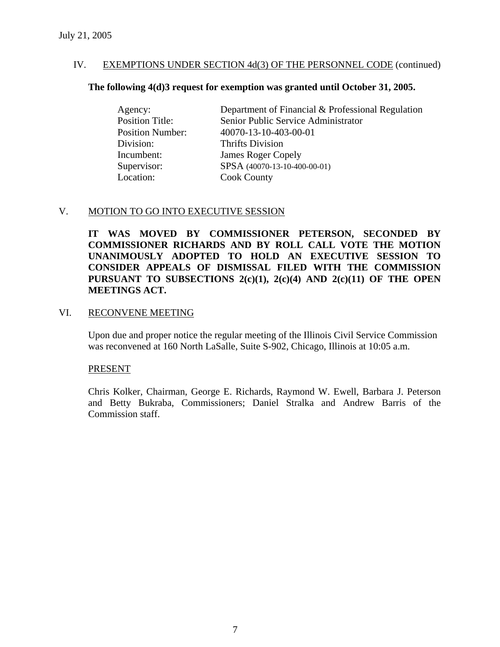# **The following 4(d)3 request for exemption was granted until October 31, 2005.**

| Agency:                 | Department of Financial & Professional Regulation |
|-------------------------|---------------------------------------------------|
| <b>Position Title:</b>  | Senior Public Service Administrator               |
| <b>Position Number:</b> | 40070-13-10-403-00-01                             |
| Division:               | <b>Thrifts Division</b>                           |
| Incumbent:              | <b>James Roger Copely</b>                         |
| Supervisor:             | SPSA (40070-13-10-400-00-01)                      |
| Location:               | <b>Cook County</b>                                |

# V. MOTION TO GO INTO EXECUTIVE SESSION

**IT WAS MOVED BY COMMISSIONER PETERSON, SECONDED BY COMMISSIONER RICHARDS AND BY ROLL CALL VOTE THE MOTION UNANIMOUSLY ADOPTED TO HOLD AN EXECUTIVE SESSION TO CONSIDER APPEALS OF DISMISSAL FILED WITH THE COMMISSION PURSUANT TO SUBSECTIONS 2(c)(1), 2(c)(4) AND 2(c)(11) OF THE OPEN MEETINGS ACT.** 

# VI. RECONVENE MEETING

Upon due and proper notice the regular meeting of the Illinois Civil Service Commission was reconvened at 160 North LaSalle, Suite S-902, Chicago, Illinois at 10:05 a.m.

# PRESENT

Chris Kolker, Chairman, George E. Richards, Raymond W. Ewell, Barbara J. Peterson and Betty Bukraba, Commissioners; Daniel Stralka and Andrew Barris of the Commission staff.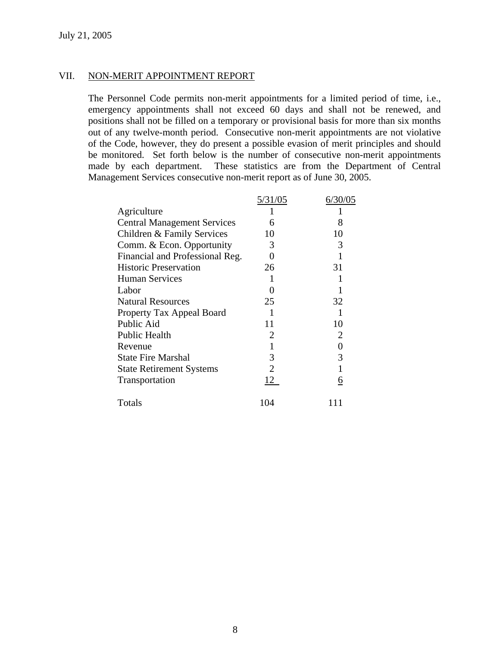# VII. NON-MERIT APPOINTMENT REPORT

The Personnel Code permits non-merit appointments for a limited period of time, i.e., emergency appointments shall not exceed 60 days and shall not be renewed, and positions shall not be filled on a temporary or provisional basis for more than six months out of any twelve-month period. Consecutive non-merit appointments are not violative of the Code, however, they do present a possible evasion of merit principles and should be monitored. Set forth below is the number of consecutive non-merit appointments made by each department. These statistics are from the Department of Central Management Services consecutive non-merit report as of June 30, 2005.

| 5/31/05 | 6/30/05  |
|---------|----------|
|         |          |
| 6       | 8        |
| 10      | 10       |
| 3       | 3        |
| 0       |          |
| 26      | 31       |
|         |          |
|         |          |
| 25      | 32       |
|         |          |
| 11      | 10       |
| 2       | 2        |
|         | 0        |
| 3       | 3        |
|         |          |
| 12      | <u>6</u> |
| 104     |          |
|         |          |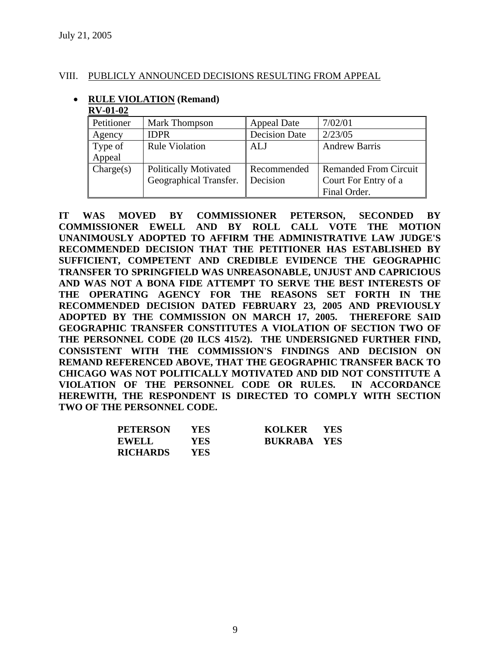# VIII. PUBLICLY ANNOUNCED DECISIONS RESULTING FROM APPEAL

#### • **RULE VIOLATION (Remand) RV-01-02**

| AN Y VA VA |                              |                      |                              |
|------------|------------------------------|----------------------|------------------------------|
| Petitioner | <b>Mark Thompson</b>         | <b>Appeal Date</b>   | 7/02/01                      |
| Agency     | <b>IDPR</b>                  | <b>Decision Date</b> | 2/23/05                      |
| Type of    | Rule Violation               | ALJ                  | <b>Andrew Barris</b>         |
| Appeal     |                              |                      |                              |
| Change(s)  | <b>Politically Motivated</b> | Recommended          | <b>Remanded From Circuit</b> |
|            | Geographical Transfer.       | Decision             | Court For Entry of a         |
|            |                              |                      | Final Order.                 |

**IT WAS MOVED BY COMMISSIONER PETERSON, SECONDED BY COMMISSIONER EWELL AND BY ROLL CALL VOTE THE MOTION UNANIMOUSLY ADOPTED TO AFFIRM THE ADMINISTRATIVE LAW JUDGE'S RECOMMENDED DECISION THAT THE PETITIONER HAS ESTABLISHED BY SUFFICIENT, COMPETENT AND CREDIBLE EVIDENCE THE GEOGRAPHIC TRANSFER TO SPRINGFIELD WAS UNREASONABLE, UNJUST AND CAPRICIOUS AND WAS NOT A BONA FIDE ATTEMPT TO SERVE THE BEST INTERESTS OF THE OPERATING AGENCY FOR THE REASONS SET FORTH IN THE RECOMMENDED DECISION DATED FEBRUARY 23, 2005 AND PREVIOUSLY ADOPTED BY THE COMMISSION ON MARCH 17, 2005. THEREFORE SAID GEOGRAPHIC TRANSFER CONSTITUTES A VIOLATION OF SECTION TWO OF THE PERSONNEL CODE (20 ILCS 415/2). THE UNDERSIGNED FURTHER FIND, CONSISTENT WITH THE COMMISSION'S FINDINGS AND DECISION ON REMAND REFERENCED ABOVE, THAT THE GEOGRAPHIC TRANSFER BACK TO CHICAGO WAS NOT POLITICALLY MOTIVATED AND DID NOT CONSTITUTE A VIOLATION OF THE PERSONNEL CODE OR RULES. IN ACCORDANCE HEREWITH, THE RESPONDENT IS DIRECTED TO COMPLY WITH SECTION TWO OF THE PERSONNEL CODE.** 

| <b>PETERSON</b> | <b>YES</b> | KOLKER YES         |  |
|-----------------|------------|--------------------|--|
| <b>EWELL</b>    | <b>YES</b> | <b>BUKRABA YES</b> |  |
| <b>RICHARDS</b> | YES.       |                    |  |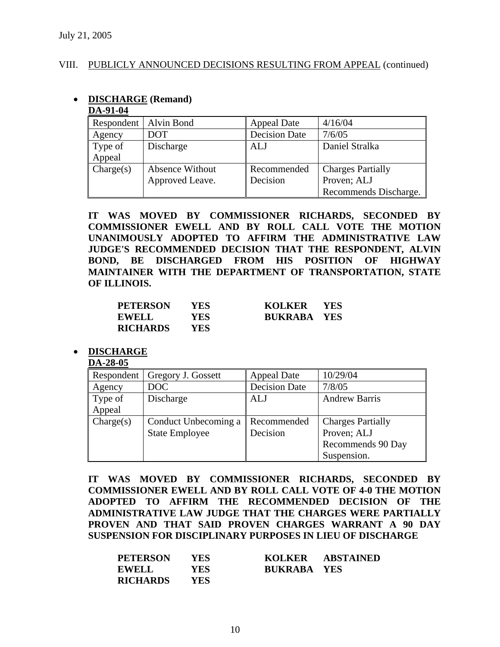• **DISCHARGE (Remand)** 

**DA-91-04**

# VIII. PUBLICLY ANNOUNCED DECISIONS RESULTING FROM APPEAL (continued)

| DA-91-04   |                        |                      |                          |
|------------|------------------------|----------------------|--------------------------|
| Respondent | Alvin Bond             | <b>Appeal Date</b>   | 4/16/04                  |
| Agency     | DOT                    | <b>Decision Date</b> | 7/6/05                   |
| Type of    | Discharge              | <b>ALJ</b>           | Daniel Stralka           |
| Appeal     |                        |                      |                          |
| Change(s)  | <b>Absence Without</b> | Recommended          | <b>Charges Partially</b> |
|            | Approved Leave.        | Decision             | Proven; ALJ              |
|            |                        |                      | Recommends Discharge.    |

**IT WAS MOVED BY COMMISSIONER RICHARDS, SECONDED BY COMMISSIONER EWELL AND BY ROLL CALL VOTE THE MOTION UNANIMOUSLY ADOPTED TO AFFIRM THE ADMINISTRATIVE LAW JUDGE'S RECOMMENDED DECISION THAT THE RESPONDENT, ALVIN BOND, BE DISCHARGED FROM HIS POSITION OF HIGHWAY MAINTAINER WITH THE DEPARTMENT OF TRANSPORTATION, STATE OF ILLINOIS.** 

| <b>PETERSON</b> | <b>YES</b> | KOLKER             | <b>YES</b> |
|-----------------|------------|--------------------|------------|
| <b>EWELL</b>    | YES.       | <b>BUKRABA YES</b> |            |
| <b>RICHARDS</b> | YES.       |                    |            |

#### • **DISCHARGE**

#### **DA-28-05**

| Respondent | Gregory J. Gossett    | <b>Appeal Date</b>   | 10/29/04                 |
|------------|-----------------------|----------------------|--------------------------|
| Agency     | DOC                   | <b>Decision Date</b> | 7/8/05                   |
| Type of    | Discharge             | <b>ALJ</b>           | <b>Andrew Barris</b>     |
| Appeal     |                       |                      |                          |
| Change(s)  | Conduct Unbecoming a  | Recommended          | <b>Charges Partially</b> |
|            | <b>State Employee</b> | Decision             | Proven; ALJ              |
|            |                       |                      | Recommends 90 Day        |
|            |                       |                      | Suspension.              |

**IT WAS MOVED BY COMMISSIONER RICHARDS, SECONDED BY COMMISSIONER EWELL AND BY ROLL CALL VOTE OF 4-0 THE MOTION ADOPTED TO AFFIRM THE RECOMMENDED DECISION OF THE ADMINISTRATIVE LAW JUDGE THAT THE CHARGES WERE PARTIALLY PROVEN AND THAT SAID PROVEN CHARGES WARRANT A 90 DAY SUSPENSION FOR DISCIPLINARY PURPOSES IN LIEU OF DISCHARGE** 

| <b>PETERSON</b> | YES  | KOLKER             | ABSTAINED |
|-----------------|------|--------------------|-----------|
| <b>EWELL</b>    | YES  | <b>BUKRABA YES</b> |           |
| <b>RICHARDS</b> | YES. |                    |           |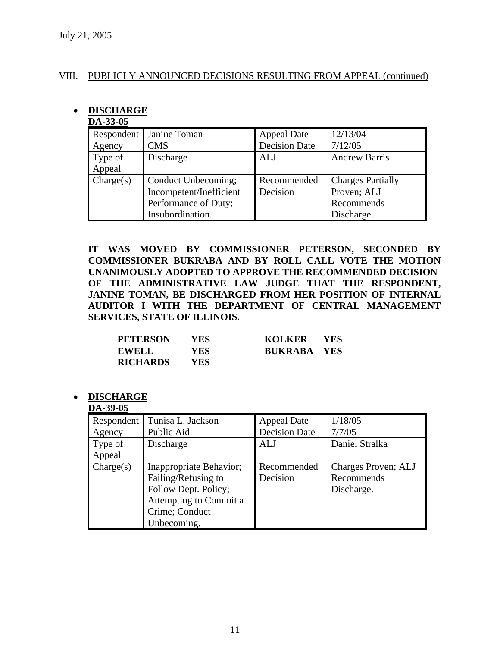# VIII. PUBLICLY ANNOUNCED DECISIONS RESULTING FROM APPEAL (continued)

# • **DISCHARGE**

| DA-33-05   |                         |                      |                          |
|------------|-------------------------|----------------------|--------------------------|
| Respondent | Janine Toman            | <b>Appeal Date</b>   | 12/13/04                 |
| Agency     | <b>CMS</b>              | <b>Decision Date</b> | 7/12/05                  |
| Type of    | Discharge               | ALJ                  | <b>Andrew Barris</b>     |
| Appeal     |                         |                      |                          |
| Change(s)  | Conduct Unbecoming;     | Recommended          | <b>Charges Partially</b> |
|            | Incompetent/Inefficient | Decision             | Proven; ALJ              |
|            | Performance of Duty;    |                      | Recommends               |
|            | Insubordination.        |                      | Discharge.               |

**IT WAS MOVED BY COMMISSIONER PETERSON, SECONDED BY COMMISSIONER BUKRABA AND BY ROLL CALL VOTE THE MOTION UNANIMOUSLY ADOPTED TO APPROVE THE RECOMMENDED DECISION OF THE ADMINISTRATIVE LAW JUDGE THAT THE RESPONDENT, JANINE TOMAN, BE DISCHARGED FROM HER POSITION OF INTERNAL AUDITOR I WITH THE DEPARTMENT OF CENTRAL MANAGEMENT SERVICES, STATE OF ILLINOIS.** 

| <b>PETERSON</b> | YES  | <b>KOLKER</b><br><b>YES</b> |  |
|-----------------|------|-----------------------------|--|
| <b>EWELL</b>    | YES. | <b>BUKRABA YES</b>          |  |
| <b>RICHARDS</b> | YES  |                             |  |

• **DISCHARGE** 

#### **DA-39-05**

| Respondent | Tunisa L. Jackson       | <b>Appeal Date</b>   | 1/18/05             |
|------------|-------------------------|----------------------|---------------------|
| Agency     | Public Aid              | <b>Decision Date</b> | 7/7/05              |
| Type of    | Discharge               | ALJ                  | Daniel Stralka      |
| Appeal     |                         |                      |                     |
| Change(s)  | Inappropriate Behavior; | Recommended          | Charges Proven; ALJ |
|            | Failing/Refusing to     | Decision             | Recommends          |
|            | Follow Dept. Policy;    |                      | Discharge.          |
|            | Attempting to Commit a  |                      |                     |
|            | Crime; Conduct          |                      |                     |
|            | Unbecoming.             |                      |                     |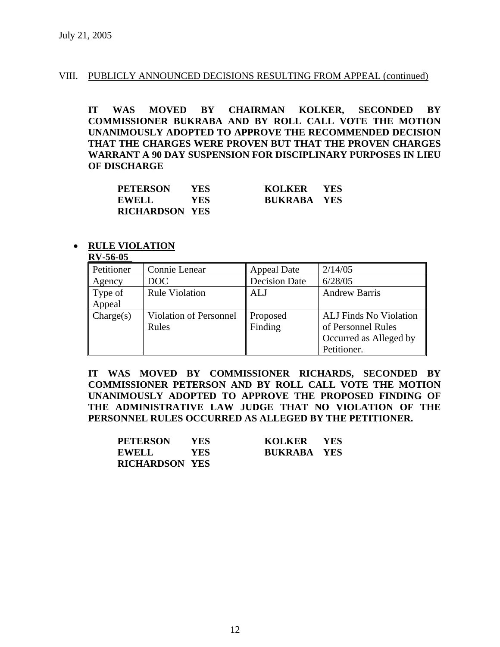## VIII. PUBLICLY ANNOUNCED DECISIONS RESULTING FROM APPEAL (continued)

**IT WAS MOVED BY CHAIRMAN KOLKER, SECONDED BY COMMISSIONER BUKRABA AND BY ROLL CALL VOTE THE MOTION UNANIMOUSLY ADOPTED TO APPROVE THE RECOMMENDED DECISION THAT THE CHARGES WERE PROVEN BUT THAT THE PROVEN CHARGES WARRANT A 90 DAY SUSPENSION FOR DISCIPLINARY PURPOSES IN LIEU OF DISCHARGE** 

| <b>PETERSON</b>       | YES. | KOLKER YES         |  |
|-----------------------|------|--------------------|--|
| EWELL                 | YES. | <b>BUKRABA YES</b> |  |
| <b>RICHARDSON YES</b> |      |                    |  |

#### • **RULE VIOLATION**

# **RV-56-05**

| <b>IVA-00-00</b> |                               |                      |                               |
|------------------|-------------------------------|----------------------|-------------------------------|
| Petitioner       | Connie Lenear                 | <b>Appeal Date</b>   | 2/14/05                       |
| Agency           | DOC                           | <b>Decision Date</b> | 6/28/05                       |
| Type of          | <b>Rule Violation</b>         | ALJ                  | <b>Andrew Barris</b>          |
| Appeal           |                               |                      |                               |
| Charles)         | <b>Violation of Personnel</b> | Proposed             | <b>ALJ</b> Finds No Violation |
|                  | Rules                         | Finding              | of Personnel Rules            |
|                  |                               |                      | Occurred as Alleged by        |
|                  |                               |                      | Petitioner.                   |

**IT WAS MOVED BY COMMISSIONER RICHARDS, SECONDED BY COMMISSIONER PETERSON AND BY ROLL CALL VOTE THE MOTION UNANIMOUSLY ADOPTED TO APPROVE THE PROPOSED FINDING OF THE ADMINISTRATIVE LAW JUDGE THAT NO VIOLATION OF THE PERSONNEL RULES OCCURRED AS ALLEGED BY THE PETITIONER.** 

| <b>PETERSON</b>       | YES.       | <b>KOLKER</b>      | <b>YES</b> |
|-----------------------|------------|--------------------|------------|
| <b>EWELL</b>          | <b>YES</b> | <b>BUKRABA YES</b> |            |
| <b>RICHARDSON YES</b> |            |                    |            |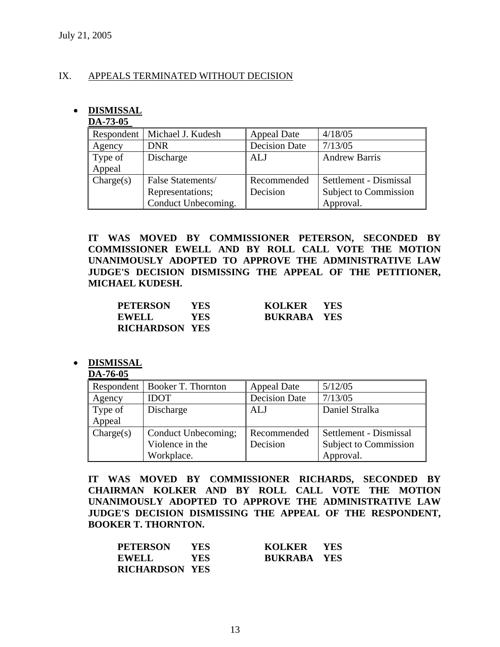# IX. APPEALS TERMINATED WITHOUT DECISION

# • **DISMISSAL**

# **DA-73-05**

| .         |                                |                      |                        |
|-----------|--------------------------------|----------------------|------------------------|
|           | Respondent   Michael J. Kudesh | <b>Appeal Date</b>   | 4/18/05                |
| Agency    | <b>DNR</b>                     | <b>Decision Date</b> | 7/13/05                |
| Type of   | Discharge                      | ALJ                  | <b>Andrew Barris</b>   |
| Appeal    |                                |                      |                        |
| Change(s) | False Statements/              | Recommended          | Settlement - Dismissal |
|           | Representations;               | Decision             | Subject to Commission  |
|           | Conduct Unbecoming.            |                      | Approval.              |

**IT WAS MOVED BY COMMISSIONER PETERSON, SECONDED BY COMMISSIONER EWELL AND BY ROLL CALL VOTE THE MOTION UNANIMOUSLY ADOPTED TO APPROVE THE ADMINISTRATIVE LAW JUDGE'S DECISION DISMISSING THE APPEAL OF THE PETITIONER, MICHAEL KUDESH.** 

| <b>PETERSON</b>       | YES. | KOLKER YES         |  |
|-----------------------|------|--------------------|--|
| <b>EWELL</b>          | YES. | <b>BUKRABA YES</b> |  |
| <b>RICHARDSON YES</b> |      |                    |  |

# • **DISMISSAL**

#### **DA-76-05**

| Respondent | Booker T. Thornton  | <b>Appeal Date</b>   | 5/12/05                |
|------------|---------------------|----------------------|------------------------|
| Agency     | <b>IDOT</b>         | <b>Decision Date</b> | 7/13/05                |
| Type of    | Discharge           | <b>ALJ</b>           | Daniel Stralka         |
| Appeal     |                     |                      |                        |
| Change(s)  | Conduct Unbecoming; | Recommended          | Settlement - Dismissal |
|            | Violence in the     | Decision             | Subject to Commission  |
|            | Workplace.          |                      | Approval.              |

**IT WAS MOVED BY COMMISSIONER RICHARDS, SECONDED BY CHAIRMAN KOLKER AND BY ROLL CALL VOTE THE MOTION UNANIMOUSLY ADOPTED TO APPROVE THE ADMINISTRATIVE LAW JUDGE'S DECISION DISMISSING THE APPEAL OF THE RESPONDENT, BOOKER T. THORNTON.** 

| <b>PETERSON</b>       | YES  | KOLKER YES         |  |
|-----------------------|------|--------------------|--|
| <b>EWELL</b>          | YES. | <b>BUKRABA YES</b> |  |
| <b>RICHARDSON YES</b> |      |                    |  |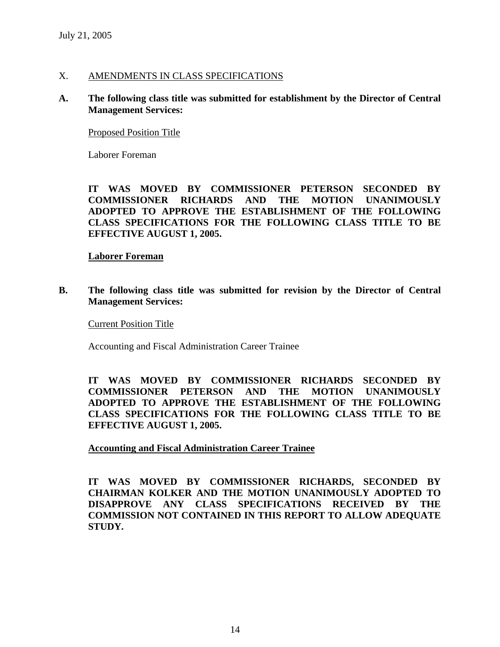# X. AMENDMENTS IN CLASS SPECIFICATIONS

# **A. The following class title was submitted for establishment by the Director of Central Management Services:**

## Proposed Position Title

Laborer Foreman

**IT WAS MOVED BY COMMISSIONER PETERSON SECONDED BY COMMISSIONER RICHARDS AND THE MOTION UNANIMOUSLY ADOPTED TO APPROVE THE ESTABLISHMENT OF THE FOLLOWING CLASS SPECIFICATIONS FOR THE FOLLOWING CLASS TITLE TO BE EFFECTIVE AUGUST 1, 2005.** 

### **Laborer Foreman**

**B. The following class title was submitted for revision by the Director of Central Management Services:** 

Current Position Title

Accounting and Fiscal Administration Career Trainee

**IT WAS MOVED BY COMMISSIONER RICHARDS SECONDED BY COMMISSIONER PETERSON AND THE MOTION UNANIMOUSLY ADOPTED TO APPROVE THE ESTABLISHMENT OF THE FOLLOWING CLASS SPECIFICATIONS FOR THE FOLLOWING CLASS TITLE TO BE EFFECTIVE AUGUST 1, 2005.** 

**Accounting and Fiscal Administration Career Trainee**

**IT WAS MOVED BY COMMISSIONER RICHARDS, SECONDED BY CHAIRMAN KOLKER AND THE MOTION UNANIMOUSLY ADOPTED TO DISAPPROVE ANY CLASS SPECIFICATIONS RECEIVED BY THE COMMISSION NOT CONTAINED IN THIS REPORT TO ALLOW ADEQUATE STUDY.**